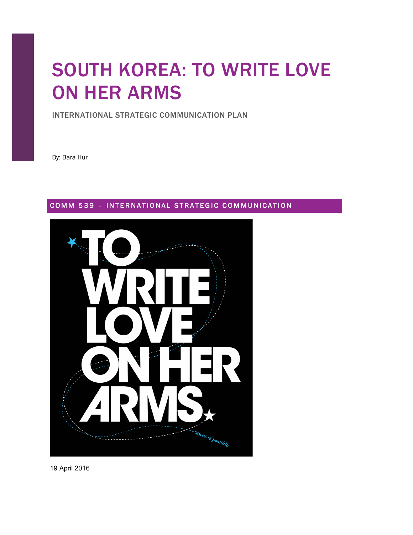# SOUTH KOREA: TO WRITE LOVE ON HER ARMS

INTERNATIONAL STRATEGIC COMMUNICATION PLAN

By: Bara Hur

# COMM 539 - INTERNATIONAL STRATEGIC COMMUNICATION



19 April 2016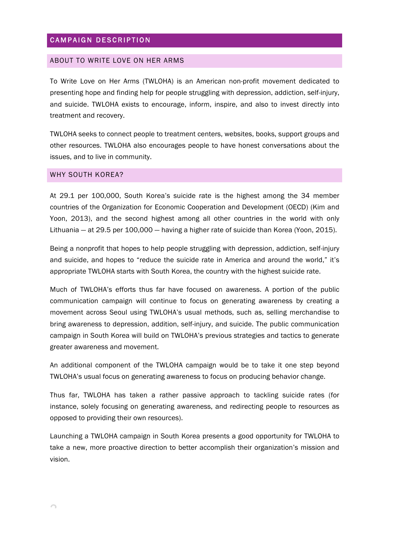# CAMPAIGN DESCRIPTION

#### ABOUT TO WRITE LOVE ON HER ARMS

To Write Love on Her Arms (TWLOHA) is an American non-profit movement dedicated to presenting hope and finding help for people struggling with depression, addiction, self-injury, and suicide. TWLOHA exists to encourage, inform, inspire, and also to invest directly into treatment and recovery.

TWLOHA seeks to connect people to treatment centers, websites, books, support groups and other resources. TWLOHA also encourages people to have honest conversations about the issues, and to live in community.

#### WHY SOUTH KOREA?

At 29.1 per 100,000, South Korea's suicide rate is the highest among the 34 member countries of the Organization for Economic Cooperation and Development (OECD) (Kim and Yoon, 2013), and the second highest among all other countries in the world with only Lithuania ― at 29.5 per 100,000 ― having a higher rate of suicide than Korea (Yoon, 2015).

Being a nonprofit that hopes to help people struggling with depression, addiction, self-injury and suicide, and hopes to "reduce the suicide rate in America and around the world," it's appropriate TWLOHA starts with South Korea, the country with the highest suicide rate.

Much of TWLOHA's efforts thus far have focused on awareness. A portion of the public communication campaign will continue to focus on generating awareness by creating a movement across Seoul using TWLOHA's usual methods, such as, selling merchandise to bring awareness to depression, addition, self-injury, and suicide. The public communication campaign in South Korea will build on TWLOHA's previous strategies and tactics to generate greater awareness and movement.

An additional component of the TWLOHA campaign would be to take it one step beyond TWLOHA's usual focus on generating awareness to focus on producing behavior change.

Thus far, TWLOHA has taken a rather passive approach to tackling suicide rates (for instance, solely focusing on generating awareness, and redirecting people to resources as opposed to providing their own resources).

Launching a TWLOHA campaign in South Korea presents a good opportunity for TWLOHA to take a new, more proactive direction to better accomplish their organization's mission and vision.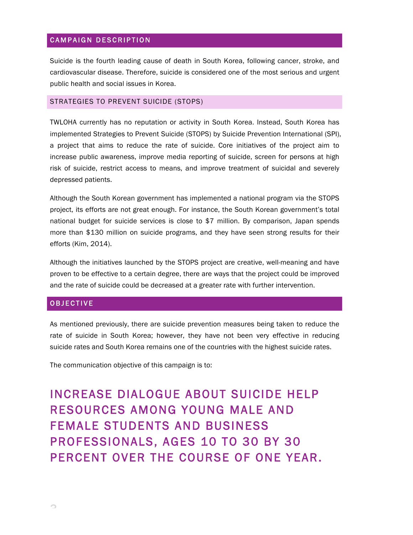#### CAMPAIGN DESCRIPTION

Suicide is the fourth leading cause of death in South Korea, following cancer, stroke, and cardiovascular disease. Therefore, suicide is considered one of the most serious and urgent public health and social issues in Korea.

#### STRATEGIES TO PREVENT SUICIDE (STOPS)

TWLOHA currently has no reputation or activity in South Korea. Instead, South Korea has implemented Strategies to Prevent Suicide (STOPS) by Suicide Prevention International (SPI), a project that aims to reduce the rate of suicide. Core initiatives of the project aim to increase public awareness, improve media reporting of suicide, screen for persons at high risk of suicide, restrict access to means, and improve treatment of suicidal and severely depressed patients.

Although the South Korean government has implemented a national program via the STOPS project, its efforts are not great enough. For instance, the South Korean government's total national budget for suicide services is close to \$7 million. By comparison, Japan spends more than \$130 million on suicide programs, and they have seen strong results for their efforts (Kim, 2014).

Although the initiatives launched by the STOPS project are creative, well-meaning and have proven to be effective to a certain degree, there are ways that the project could be improved and the rate of suicide could be decreased at a greater rate with further intervention.

#### OBJECTIVE

As mentioned previously, there are suicide prevention measures being taken to reduce the rate of suicide in South Korea; however, they have not been very effective in reducing suicide rates and South Korea remains one of the countries with the highest suicide rates.

The communication objective of this campaign is to:

INCREASE DIALOGUE ABOUT SUICIDE HELP RESOURCES AMONG YOUNG MALE AND FEMALE STUDENTS AND BUSINESS PROFESSIONALS, AGES 10 TO 30 BY 30 PERCENT OVER THE COURSE OF ONE YEAR.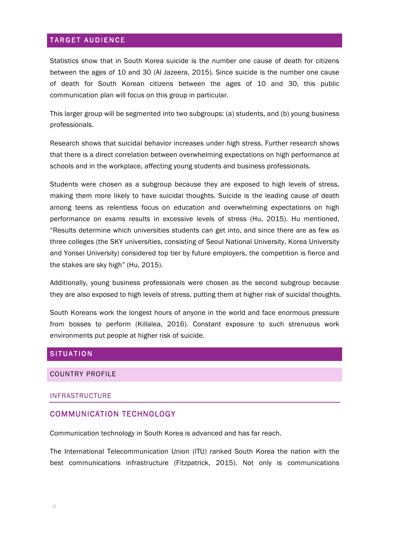#### TARGET AUDIENCE

Statistics show that in South Korea suicide is the number one cause of death for citizens between the ages of 10 and 30 (Al Jazeera, 2015). Since suicide is the number one cause of death for South Korean citizens between the ages of 10 and 30, this public communication plan will focus on this group in particular.

This larger group will be segmented into two subgroups: (a) students, and (b) young business professionals.

Research shows that suicidal behavior increases under high stress. Further research shows that there is a direct correlation between overwhelming expectations on high performance at schools and in the workplace, affecting young students and business professionals.

Students were chosen as a subgroup because they are exposed to high levels of stress, making them more likely to have suicidal thoughts. Suicide is the leading cause of death among teens as relentless focus on education and overwhelming expectations on high performance on exams results in excessive levels of stress (Hu, 2015). Hu mentioned, "Results determine which universities students can get into, and since there are as few as three colleges (the SKY universities, consisting of Seoul National University, Korea University and Yonsei University) considered top tier by future employers, the competition is fierce and the stakes are sky high" (Hu, 2015).

Additionally, young business professionals were chosen as the second subgroup because they are also exposed to high levels of stress, putting them at higher risk of suicidal thoughts.

South Koreans work the longest hours of anyone in the world and face enormous pressure from bosses to perform (Killalea, 2016). Constant exposure to such strenuous work environments put people at higher risk of suicide.

#### **SITUATION**

#### COUNTRY PROFILE

#### INFRASTRUCTURE

#### COMMUNICATION TECHNOLOGY

Communication technology in South Korea is advanced and has far reach.

The International Telecommunication Union (ITU) ranked South Korea the nation with the best communications infrastructure (Fitzpatrick, 2015). Not only is communications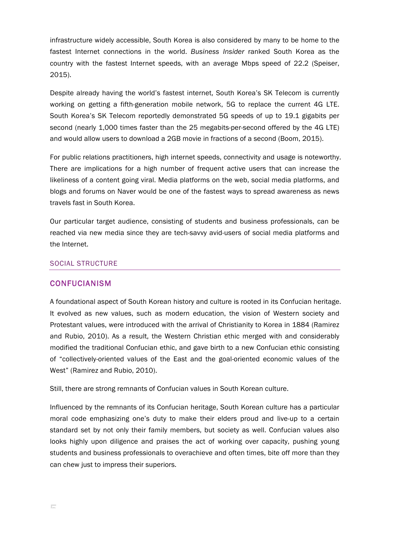infrastructure widely accessible, South Korea is also considered by many to be home to the fastest Internet connections in the world. *Business Insider* ranked South Korea as the country with the fastest Internet speeds, with an average Mbps speed of 22.2 (Speiser, 2015).

Despite already having the world's fastest internet, South Korea's SK Telecom is currently working on getting a fifth-generation mobile network, 5G to replace the current 4G LTE. South Korea's SK Telecom reportedly demonstrated 5G speeds of up to 19.1 gigabits per second (nearly 1,000 times faster than the 25 megabits-per-second offered by the 4G LTE) and would allow users to download a 2GB movie in fractions of a second (Boom, 2015).

For public relations practitioners, high internet speeds, connectivity and usage is noteworthy. There are implications for a high number of frequent active users that can increase the likeliness of a content going viral. Media platforms on the web, social media platforms, and blogs and forums on Naver would be one of the fastest ways to spread awareness as news travels fast in South Korea.

Our particular target audience, consisting of students and business professionals, can be reached via new media since they are tech-savvy avid-users of social media platforms and the Internet.

#### SOCIAL STRUCTURE

#### CONFUCIANISM

A foundational aspect of South Korean history and culture is rooted in its Confucian heritage. It evolved as new values, such as modern education, the vision of Western society and Protestant values, were introduced with the arrival of Christianity to Korea in 1884 (Ramirez and Rubio, 2010). As a result, the Western Christian ethic merged with and considerably modified the traditional Confucian ethic, and gave birth to a new Confucian ethic consisting of "collectively-oriented values of the East and the goal-oriented economic values of the West" (Ramirez and Rubio, 2010).

Still, there are strong remnants of Confucian values in South Korean culture.

Influenced by the remnants of its Confucian heritage, South Korean culture has a particular moral code emphasizing one's duty to make their elders proud and live-up to a certain standard set by not only their family members, but society as well. Confucian values also looks highly upon diligence and praises the act of working over capacity, pushing young students and business professionals to overachieve and often times, bite off more than they can chew just to impress their superiors.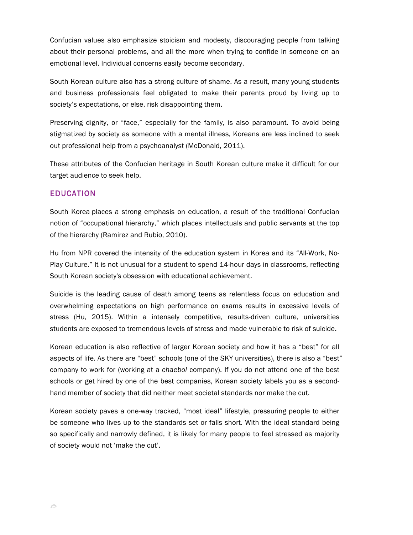Confucian values also emphasize stoicism and modesty, discouraging people from talking about their personal problems, and all the more when trying to confide in someone on an emotional level. Individual concerns easily become secondary.

South Korean culture also has a strong culture of shame. As a result, many young students and business professionals feel obligated to make their parents proud by living up to society's expectations, or else, risk disappointing them.

Preserving dignity, or "face," especially for the family, is also paramount. To avoid being stigmatized by society as someone with a mental illness, Koreans are less inclined to seek out professional help from a psychoanalyst (McDonald, 2011).

These attributes of the Confucian heritage in South Korean culture make it difficult for our target audience to seek help.

# EDUCATION

South Korea places a strong emphasis on education, a result of the traditional Confucian notion of "occupational hierarchy," which places intellectuals and public servants at the top of the hierarchy (Ramirez and Rubio, 2010).

Hu from NPR covered the intensity of the education system in Korea and its "All-Work, No-Play Culture." It is not unusual for a student to spend 14-hour days in classrooms, reflecting South Korean society's obsession with educational achievement.

Suicide is the leading cause of death among teens as relentless focus on education and overwhelming expectations on high performance on exams results in excessive levels of stress (Hu, 2015). Within a intensely competitive, results-driven culture, universities students are exposed to tremendous levels of stress and made vulnerable to risk of suicide.

Korean education is also reflective of larger Korean society and how it has a "best" for all aspects of life. As there are "best" schools (one of the SKY universities), there is also a "best" company to work for (working at a *chaebol* company). If you do not attend one of the best schools or get hired by one of the best companies, Korean society labels you as a secondhand member of society that did neither meet societal standards nor make the cut.

Korean society paves a one-way tracked, "most ideal" lifestyle, pressuring people to either be someone who lives up to the standards set or falls short. With the ideal standard being so specifically and narrowly defined, it is likely for many people to feel stressed as majority of society would not 'make the cut'.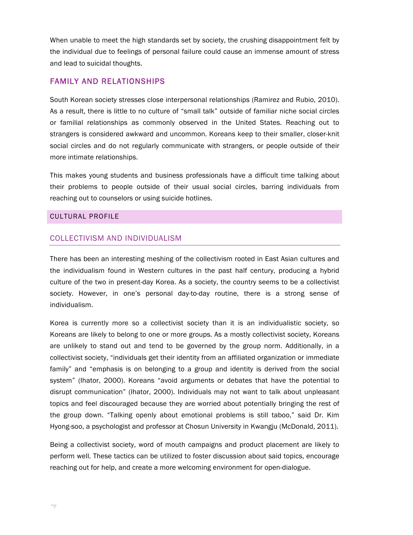When unable to meet the high standards set by society, the crushing disappointment felt by the individual due to feelings of personal failure could cause an immense amount of stress and lead to suicidal thoughts.

## FAMILY AND RELATIONSHIPS

South Korean society stresses close interpersonal relationships (Ramirez and Rubio, 2010). As a result, there is little to no culture of "small talk" outside of familiar niche social circles or familial relationships as commonly observed in the United States. Reaching out to strangers is considered awkward and uncommon. Koreans keep to their smaller, closer-knit social circles and do not regularly communicate with strangers, or people outside of their more intimate relationships.

This makes young students and business professionals have a difficult time talking about their problems to people outside of their usual social circles, barring individuals from reaching out to counselors or using suicide hotlines.

#### CULTURAL PROFILE

#### COLLECTIVISM AND INDIVIDUALISM

There has been an interesting meshing of the collectivism rooted in East Asian cultures and the individualism found in Western cultures in the past half century, producing a hybrid culture of the two in present-day Korea. As a society, the country seems to be a collectivist society. However, in one's personal day-to-day routine, there is a strong sense of individualism.

Korea is currently more so a collectivist society than it is an individualistic society, so Koreans are likely to belong to one or more groups. As a mostly collectivist society, Koreans are unlikely to stand out and tend to be governed by the group norm. Additionally, in a collectivist society, "individuals get their identity from an affiliated organization or immediate family" and "emphasis is on belonging to a group and identity is derived from the social system" (Ihator, 2000). Koreans "avoid arguments or debates that have the potential to disrupt communication" (Ihator, 2000). Individuals may not want to talk about unpleasant topics and feel discouraged because they are worried about potentially bringing the rest of the group down. "Talking openly about emotional problems is still taboo," said Dr. Kim Hyong-soo, a psychologist and professor at Chosun University in Kwangju (McDonald, 2011).

Being a collectivist society, word of mouth campaigns and product placement are likely to perform well. These tactics can be utilized to foster discussion about said topics, encourage reaching out for help, and create a more welcoming environment for open-dialogue.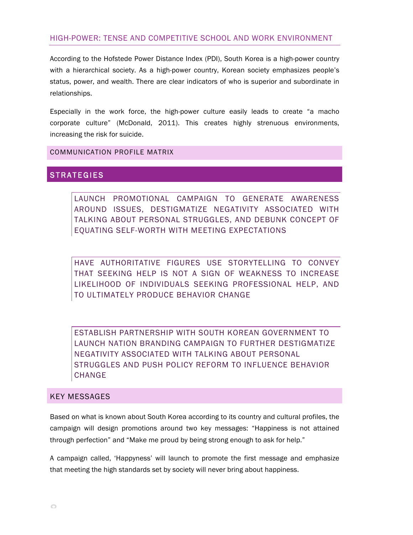# HIGH-POWER: TENSE AND COMPETITIVE SCHOOL AND WORK ENVIRONMENT

According to the Hofstede Power Distance Index (PDI), South Korea is a high-power country with a hierarchical society. As a high-power country, Korean society emphasizes people's status, power, and wealth. There are clear indicators of who is superior and subordinate in relationships.

Especially in the work force, the high-power culture easily leads to create "a macho corporate culture" (McDonald, 2011). This creates highly strenuous environments, increasing the risk for suicide.

COMMUNICATION PROFILE MATRIX

# **STRATEGIES**

LAUNCH PROMOTIONAL CAMPAIGN TO GENERATE AWARENESS AROUND ISSUES, DESTIGMATIZE NEGATIVITY ASSOCIATED WITH TALKING ABOUT PERSONAL STRUGGLES, AND DEBUNK CONCEPT OF EQUATING SELF-WORTH WITH MEETING EXPECTATIONS

HAVE AUTHORITATIVE FIGURES USE STORYTELLING TO CONVEY THAT SEEKING HELP IS NOT A SIGN OF WEAKNESS TO INCREASE LIKELIHOOD OF INDIVIDUALS SEEKING PROFESSIONAL HELP, AND TO ULTIMATELY PRODUCE BEHAVIOR CHANGE

ESTABLISH PARTNERSHIP WITH SOUTH KOREAN GOVERNMENT TO LAUNCH NATION BRANDING CAMPAIGN TO FURTHER DESTIGMATIZE NEGATIVITY ASSOCIATED WITH TALKING ABOUT PERSONAL STRUGGLES AND PUSH POLICY REFORM TO INFLUENCE BEHAVIOR CHANGE

#### KEY MESSAGES

Based on what is known about South Korea according to its country and cultural profiles, the campaign will design promotions around two key messages: "Happiness is not attained through perfection" and "Make me proud by being strong enough to ask for help."

A campaign called, 'Happyness' will launch to promote the first message and emphasize that meeting the high standards set by society will never bring about happiness.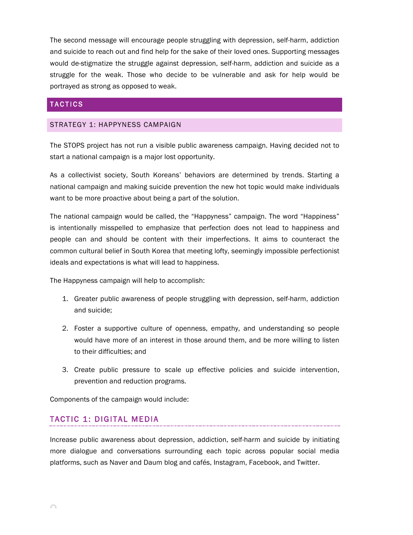The second message will encourage people struggling with depression, self-harm, addiction and suicide to reach out and find help for the sake of their loved ones. Supporting messages would de-stigmatize the struggle against depression, self-harm, addiction and suicide as a struggle for the weak. Those who decide to be vulnerable and ask for help would be portrayed as strong as opposed to weak.

## TACTICS

#### STRATEGY 1: HAPPYNESS CAMPAIGN

The STOPS project has not run a visible public awareness campaign. Having decided not to start a national campaign is a major lost opportunity.

As a collectivist society, South Koreans' behaviors are determined by trends. Starting a national campaign and making suicide prevention the new hot topic would make individuals want to be more proactive about being a part of the solution.

The national campaign would be called, the "Happyness" campaign. The word "Happiness" is intentionally misspelled to emphasize that perfection does not lead to happiness and people can and should be content with their imperfections. It aims to counteract the common cultural belief in South Korea that meeting lofty, seemingly impossible perfectionist ideals and expectations is what will lead to happiness.

The Happyness campaign will help to accomplish:

- 1. Greater public awareness of people struggling with depression, self-harm, addiction and suicide;
- 2. Foster a supportive culture of openness, empathy, and understanding so people would have more of an interest in those around them, and be more willing to listen to their difficulties; and
- 3. Create public pressure to scale up effective policies and suicide intervention, prevention and reduction programs.

Components of the campaign would include:

# TACTIC 1: DIGITAL MEDIA

Increase public awareness about depression, addiction, self-harm and suicide by initiating more dialogue and conversations surrounding each topic across popular social media platforms, such as Naver and Daum blog and cafés, Instagram, Facebook, and Twitter.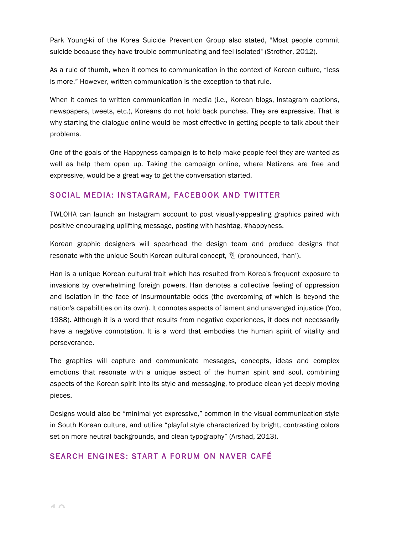Park Young-ki of the Korea Suicide Prevention Group also stated, "Most people commit suicide because they have trouble communicating and feel isolated" (Strother, 2012).

As a rule of thumb, when it comes to communication in the context of Korean culture, "less is more." However, written communication is the exception to that rule.

When it comes to written communication in media (i.e., Korean blogs, Instagram captions, newspapers, tweets, etc.), Koreans do not hold back punches. They are expressive. That is why starting the dialogue online would be most effective in getting people to talk about their problems.

One of the goals of the Happyness campaign is to help make people feel they are wanted as well as help them open up. Taking the campaign online, where Netizens are free and expressive, would be a great way to get the conversation started.

# SOCIAL MEDIA: INSTAGRAM, FACEBOOK AND TWITTER

TWLOHA can launch an Instagram account to post visually-appealing graphics paired with positive encouraging uplifting message, posting with hashtag, #happyness.

Korean graphic designers will spearhead the design team and produce designs that resonate with the unique South Korean cultural concept, 한 (pronounced, 'han').

Han is a unique Korean cultural trait which has resulted from Korea's frequent exposure to invasions by overwhelming foreign powers. Han denotes a collective feeling of oppression and isolation in the face of insurmountable odds (the overcoming of which is beyond the nation's capabilities on its own). It connotes aspects of lament and unavenged injustice (Yoo, 1988). Although it is a word that results from negative experiences, it does not necessarily have a negative connotation. It is a word that embodies the human spirit of vitality and perseverance.

The graphics will capture and communicate messages, concepts, ideas and complex emotions that resonate with a unique aspect of the human spirit and soul, combining aspects of the Korean spirit into its style and messaging, to produce clean yet deeply moving pieces.

Designs would also be "minimal yet expressive," common in the visual communication style in South Korean culture, and utilize "playful style characterized by bright, contrasting colors set on more neutral backgrounds, and clean typography" (Arshad, 2013).

# SEARCH ENGINES: START A FORUM ON NAVER CAFÉ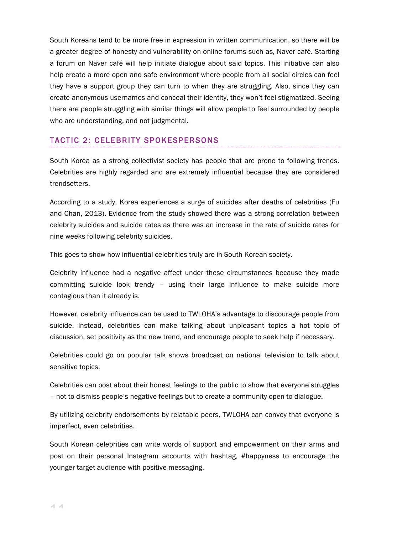South Koreans tend to be more free in expression in written communication, so there will be a greater degree of honesty and vulnerability on online forums such as, Naver café. Starting a forum on Naver café will help initiate dialogue about said topics. This initiative can also help create a more open and safe environment where people from all social circles can feel they have a support group they can turn to when they are struggling. Also, since they can create anonymous usernames and conceal their identity, they won't feel stigmatized. Seeing there are people struggling with similar things will allow people to feel surrounded by people who are understanding, and not judgmental.

# TACTIC 2: CELEBRITY SPOKESPERSONS

South Korea as a strong collectivist society has people that are prone to following trends. Celebrities are highly regarded and are extremely influential because they are considered trendsetters.

According to a study, Korea experiences a surge of suicides after deaths of celebrities (Fu and Chan, 2013). Evidence from the study showed there was a strong correlation between celebrity suicides and suicide rates as there was an increase in the rate of suicide rates for nine weeks following celebrity suicides.

This goes to show how influential celebrities truly are in South Korean society.

Celebrity influence had a negative affect under these circumstances because they made committing suicide look trendy – using their large influence to make suicide more contagious than it already is.

However, celebrity influence can be used to TWLOHA's advantage to discourage people from suicide. Instead, celebrities can make talking about unpleasant topics a hot topic of discussion, set positivity as the new trend, and encourage people to seek help if necessary.

Celebrities could go on popular talk shows broadcast on national television to talk about sensitive topics.

Celebrities can post about their honest feelings to the public to show that everyone struggles – not to dismiss people's negative feelings but to create a community open to dialogue.

By utilizing celebrity endorsements by relatable peers, TWLOHA can convey that everyone is imperfect, even celebrities.

South Korean celebrities can write words of support and empowerment on their arms and post on their personal Instagram accounts with hashtag, #happyness to encourage the younger target audience with positive messaging.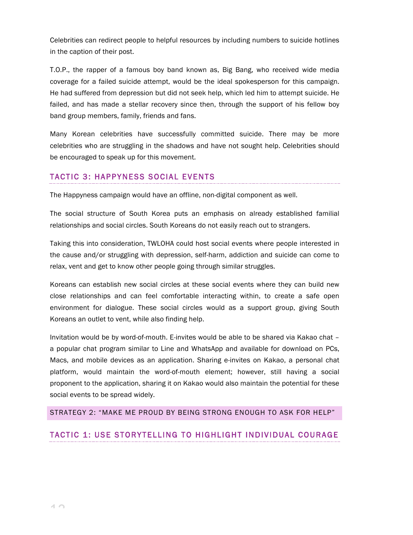Celebrities can redirect people to helpful resources by including numbers to suicide hotlines in the caption of their post.

T.O.P., the rapper of a famous boy band known as, Big Bang, who received wide media coverage for a failed suicide attempt, would be the ideal spokesperson for this campaign. He had suffered from depression but did not seek help, which led him to attempt suicide. He failed, and has made a stellar recovery since then, through the support of his fellow boy band group members, family, friends and fans.

Many Korean celebrities have successfully committed suicide. There may be more celebrities who are struggling in the shadows and have not sought help. Celebrities should be encouraged to speak up for this movement.

# TACTIC 3: HAPPYNESS SOCIAL EVENTS

The Happyness campaign would have an offline, non-digital component as well.

The social structure of South Korea puts an emphasis on already established familial relationships and social circles. South Koreans do not easily reach out to strangers.

Taking this into consideration, TWLOHA could host social events where people interested in the cause and/or struggling with depression, self-harm, addiction and suicide can come to relax, vent and get to know other people going through similar struggles.

Koreans can establish new social circles at these social events where they can build new close relationships and can feel comfortable interacting within, to create a safe open environment for dialogue. These social circles would as a support group, giving South Koreans an outlet to vent, while also finding help.

Invitation would be by word-of-mouth. E-invites would be able to be shared via Kakao chat – a popular chat program similar to Line and WhatsApp and available for download on PCs, Macs, and mobile devices as an application. Sharing e-invites on Kakao, a personal chat platform, would maintain the word-of-mouth element; however, still having a social proponent to the application, sharing it on Kakao would also maintain the potential for these social events to be spread widely.

#### STRATEGY 2: "MAKE ME PROUD BY BEING STRONG ENOUGH TO ASK FOR HELP"

# TACTIC 1: USE STORYTELLING TO HIGHLIGHT INDIVIDUAL COURAGE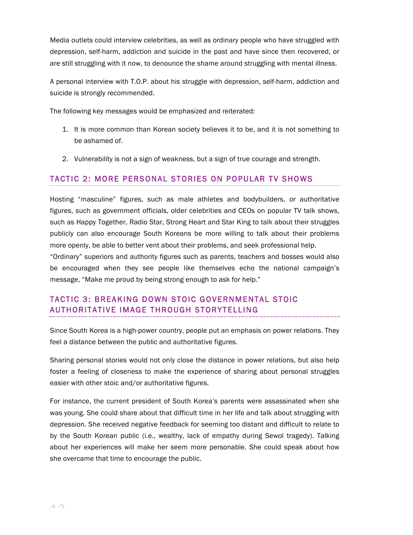Media outlets could interview celebrities, as well as ordinary people who have struggled with depression, self-harm, addiction and suicide in the past and have since then recovered, or are still struggling with it now, to denounce the shame around struggling with mental illness.

A personal interview with T.O.P. about his struggle with depression, self-harm, addiction and suicide is strongly recommended.

The following key messages would be emphasized and reiterated:

- 1. It is more common than Korean society believes it to be, and it is not something to be ashamed of.
- 2. Vulnerability is not a sign of weakness, but a sign of true courage and strength.

#### TACTIC 2: MORE PERSONAL STORIES ON POPULAR TV SHOWS

Hosting "masculine" figures, such as male athletes and bodybuilders, or authoritative figures, such as government officials, older celebrities and CEOs on popular TV talk shows, such as Happy Together, Radio Star, Strong Heart and Star King to talk about their struggles publicly can also encourage South Koreans be more willing to talk about their problems more openly, be able to better vent about their problems, and seek professional help.

"Ordinary" superiors and authority figures such as parents, teachers and bosses would also be encouraged when they see people like themselves echo the national campaign's message, "Make me proud by being strong enough to ask for help."

# TACTIC 3: BREAKING DOWN STOIC GOVERNMENTAL STOIC AUTHORITATIVE IMAGE THROUGH STORYTELLING

Since South Korea is a high-power country, people put an emphasis on power relations. They feel a distance between the public and authoritative figures.

Sharing personal stories would not only close the distance in power relations, but also help foster a feeling of closeness to make the experience of sharing about personal struggles easier with other stoic and/or authoritative figures.

For instance, the current president of South Korea's parents were assassinated when she was young. She could share about that difficult time in her life and talk about struggling with depression. She received negative feedback for seeming too distant and difficult to relate to by the South Korean public (i.e., wealthy, lack of empathy during Sewol tragedy). Talking about her experiences will make her seem more personable. She could speak about how she overcame that time to encourage the public.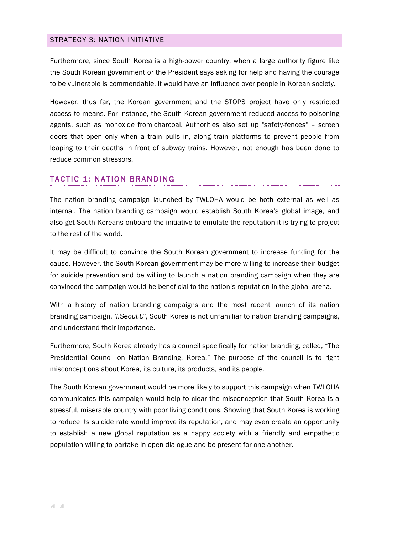#### STRATEGY 3: NATION INITIATIVE

Furthermore, since South Korea is a high-power country, when a large authority figure like the South Korean government or the President says asking for help and having the courage to be vulnerable is commendable, it would have an influence over people in Korean society.

However, thus far, the Korean government and the STOPS project have only restricted access to means. For instance, the South Korean government reduced access to poisoning agents, such as monoxide from charcoal. Authorities also set up "safety-fences" – screen doors that open only when a train pulls in, along train platforms to prevent people from leaping to their deaths in front of subway trains. However, not enough has been done to reduce common stressors.

#### TACTIC 1: NATION BRANDING

The nation branding campaign launched by TWLOHA would be both external as well as internal. The nation branding campaign would establish South Korea's global image, and also get South Koreans onboard the initiative to emulate the reputation it is trying to project to the rest of the world.

It may be difficult to convince the South Korean government to increase funding for the cause. However, the South Korean government may be more willing to increase their budget for suicide prevention and be willing to launch a nation branding campaign when they are convinced the campaign would be beneficial to the nation's reputation in the global arena.

With a history of nation branding campaigns and the most recent launch of its nation branding campaign, *'I.Seoul.U'*, South Korea is not unfamiliar to nation branding campaigns, and understand their importance.

Furthermore, South Korea already has a council specifically for nation branding, called, "The Presidential Council on Nation Branding, Korea." The purpose of the council is to right misconceptions about Korea, its culture, its products, and its people.

The South Korean government would be more likely to support this campaign when TWLOHA communicates this campaign would help to clear the misconception that South Korea is a stressful, miserable country with poor living conditions. Showing that South Korea is working to reduce its suicide rate would improve its reputation, and may even create an opportunity to establish a new global reputation as a happy society with a friendly and empathetic population willing to partake in open dialogue and be present for one another.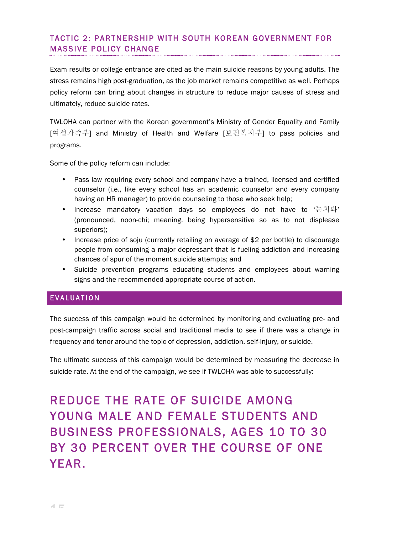# TACTIC 2: PARTNERSHIP WITH SOUTH KOREAN GOVERNMENT FOR MASSIVE POLICY CHANGE

Exam results or college entrance are cited as the main suicide reasons by young adults. The stress remains high post-graduation, as the job market remains competitive as well. Perhaps policy reform can bring about changes in structure to reduce major causes of stress and ultimately, reduce suicide rates.

TWLOHA can partner with the Korean government's Ministry of Gender Equality and Family [여성가족부] and Ministry of Health and Welfare [보건복지부] to pass policies and programs.

Some of the policy reform can include:

- Pass law requiring every school and company have a trained, licensed and certified counselor (i.e., like every school has an academic counselor and every company having an HR manager) to provide counseling to those who seek help;
- Increase mandatory vacation days so employees do not have to  $\pm \lambda \mu'$ (pronounced, noon-chi; meaning, being hypersensitive so as to not displease superiors);
- Increase price of soju (currently retailing on average of \$2 per bottle) to discourage people from consuming a major depressant that is fueling addiction and increasing chances of spur of the moment suicide attempts; and
- Suicide prevention programs educating students and employees about warning signs and the recommended appropriate course of action.

# EVALUATION

The success of this campaign would be determined by monitoring and evaluating pre- and post-campaign traffic across social and traditional media to see if there was a change in frequency and tenor around the topic of depression, addiction, self-injury, or suicide.

The ultimate success of this campaign would be determined by measuring the decrease in suicide rate. At the end of the campaign, we see if TWLOHA was able to successfully:

# REDUCE THE RATE OF SUICIDE AMONG YOUNG MALE AND FEMALE STUDENTS AND BUSINESS PROFESSIONALS, AGES 10 TO 30 BY 30 PERCENT OVER THE COURSE OF ONE YEAR.